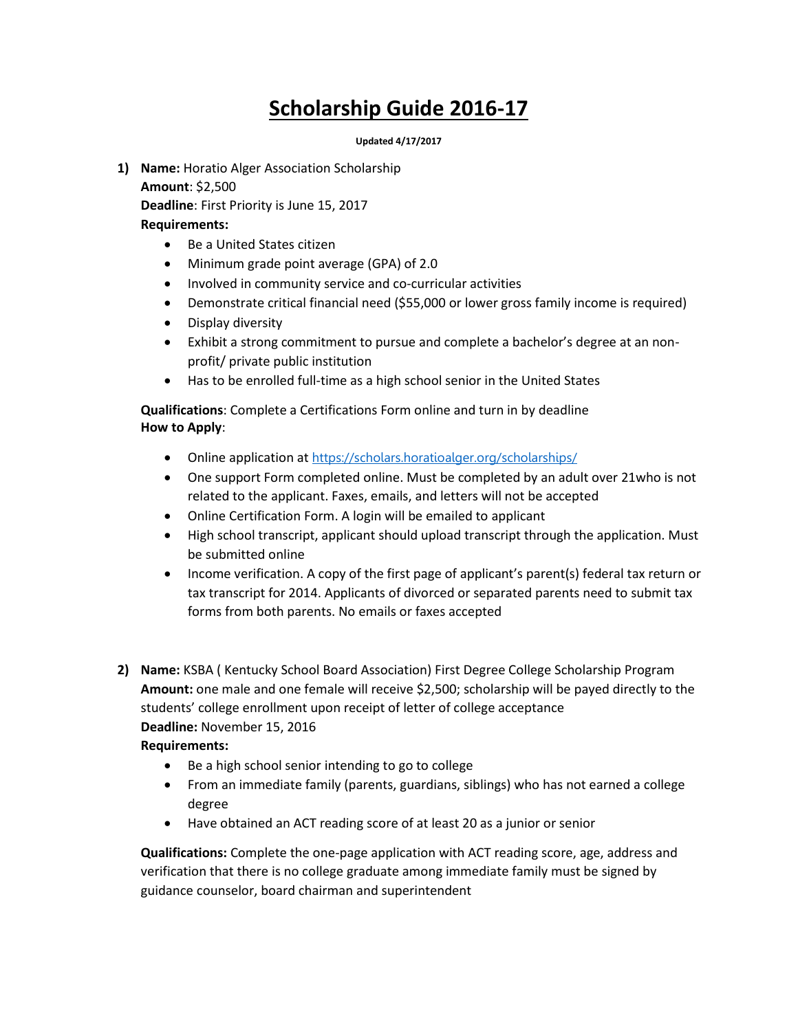# **Scholarship Guide 2016-17**

**Updated 4/17/2017**

**1) Name:** Horatio Alger Association Scholarship **Amount**: \$2,500 **Deadline**: First Priority is June 15, 2017

#### **Requirements:**

- Be a United States citizen
- Minimum grade point average (GPA) of 2.0
- Involved in community service and co-curricular activities
- Demonstrate critical financial need (\$55,000 or lower gross family income is required)
- Display diversity
- Exhibit a strong commitment to pursue and complete a bachelor's degree at an nonprofit/ private public institution
- Has to be enrolled full-time as a high school senior in the United States

**Qualifications**: Complete a Certifications Form online and turn in by deadline **How to Apply**:

- Online application at <https://scholars.horatioalger.org/scholarships/>
- One support Form completed online. Must be completed by an adult over 21who is not related to the applicant. Faxes, emails, and letters will not be accepted
- Online Certification Form. A login will be emailed to applicant
- High school transcript, applicant should upload transcript through the application. Must be submitted online
- Income verification. A copy of the first page of applicant's parent(s) federal tax return or tax transcript for 2014. Applicants of divorced or separated parents need to submit tax forms from both parents. No emails or faxes accepted
- **2) Name:** KSBA ( Kentucky School Board Association) First Degree College Scholarship Program **Amount:** one male and one female will receive \$2,500; scholarship will be payed directly to the students' college enrollment upon receipt of letter of college acceptance **Deadline:** November 15, 2016

#### **Requirements:**

- Be a high school senior intending to go to college
- From an immediate family (parents, guardians, siblings) who has not earned a college degree
- Have obtained an ACT reading score of at least 20 as a junior or senior

**Qualifications:** Complete the one-page application with ACT reading score, age, address and verification that there is no college graduate among immediate family must be signed by guidance counselor, board chairman and superintendent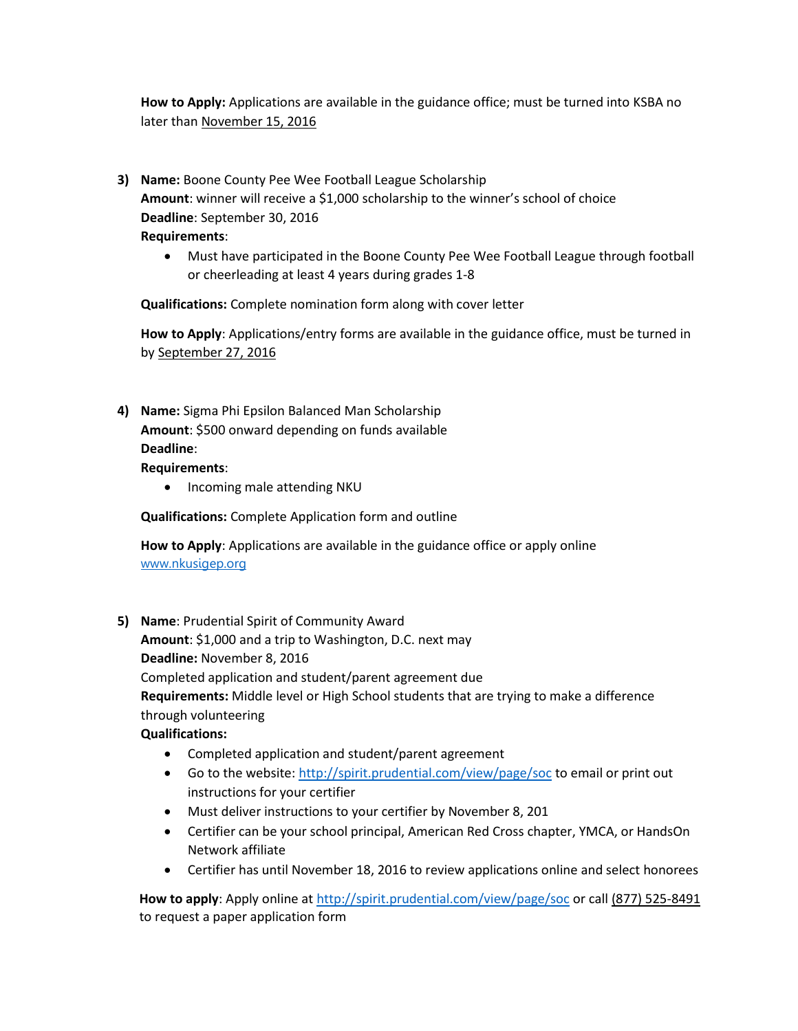**How to Apply:** Applications are available in the guidance office; must be turned into KSBA no later than November 15, 2016

- **3) Name:** Boone County Pee Wee Football League Scholarship **Amount**: winner will receive a \$1,000 scholarship to the winner's school of choice **Deadline**: September 30, 2016 **Requirements**:
	- Must have participated in the Boone County Pee Wee Football League through football or cheerleading at least 4 years during grades 1-8

**Qualifications:** Complete nomination form along with cover letter

**How to Apply**: Applications/entry forms are available in the guidance office, must be turned in by September 27, 2016

**4) Name:** Sigma Phi Epsilon Balanced Man Scholarship **Amount**: \$500 onward depending on funds available **Deadline**:

#### **Requirements**:

• Incoming male attending NKU

**Qualifications:** Complete Application form and outline

**How to Apply**: Applications are available in the guidance office or apply online [www.nkusigep.org](http://www.nkusigep.org/)

**5) Name**: Prudential Spirit of Community Award

**Amount**: \$1,000 and a trip to Washington, D.C. next may **Deadline:** November 8, 2016

Completed application and student/parent agreement due

**Requirements:** Middle level or High School students that are trying to make a difference through volunteering

**Qualifications:**

- Completed application and student/parent agreement
- Go to the website:<http://spirit.prudential.com/view/page/soc> to email or print out instructions for your certifier
- Must deliver instructions to your certifier by November 8, 201
- Certifier can be your school principal, American Red Cross chapter, YMCA, or HandsOn Network affiliate
- Certifier has until November 18, 2016 to review applications online and select honorees

 **How to apply**: Apply online at<http://spirit.prudential.com/view/page/soc> or call (877) 525-8491 to request a paper application form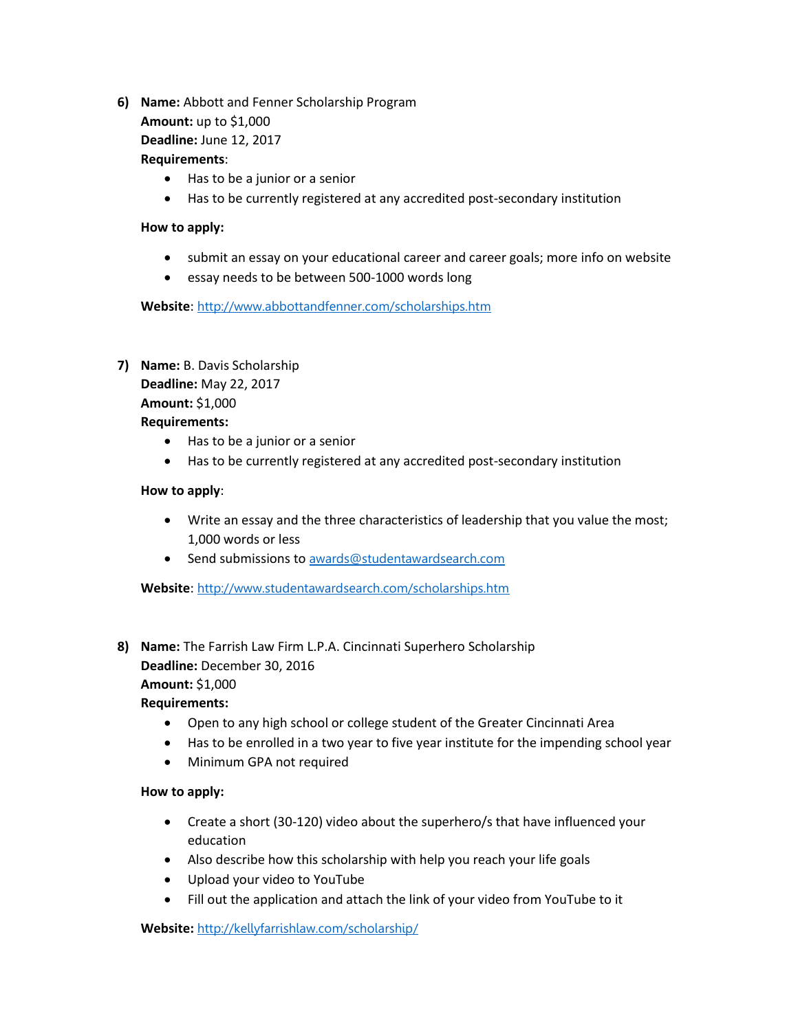**6) Name:** Abbott and Fenner Scholarship Program **Amount:** up to \$1,000

**Deadline:** June 12, 2017

#### **Requirements**:

- Has to be a junior or a senior
- Has to be currently registered at any accredited post-secondary institution

#### **How to apply:**

- submit an essay on your educational career and career goals; more info on website
- essay needs to be between 500-1000 words long

**Website**: <http://www.abbottandfenner.com/scholarships.htm>

## **7) Name:** B. Davis Scholarship **Deadline:** May 22, 2017 **Amount:** \$1,000 **Requirements:**

- Has to be a junior or a senior
- Has to be currently registered at any accredited post-secondary institution

## **How to apply**:

- Write an essay and the three characteristics of leadership that you value the most; 1,000 words or less
- Send submissions to [awards@studentawardsearch.com](mailto:awards@studentawardsearch.com)

**Website**: <http://www.studentawardsearch.com/scholarships.htm>

**8) Name:** The Farrish Law Firm L.P.A. Cincinnati Superhero Scholarship **Deadline:** December 30, 2016 **Amount:** \$1,000

#### **Requirements:**

- Open to any high school or college student of the Greater Cincinnati Area
- Has to be enrolled in a two year to five year institute for the impending school year
- Minimum GPA not required

#### **How to apply:**

- Create a short (30-120) video about the superhero/s that have influenced your education
- Also describe how this scholarship with help you reach your life goals
- Upload your video to YouTube
- Fill out the application and attach the link of your video from YouTube to it

**Website:** <http://kellyfarrishlaw.com/scholarship/>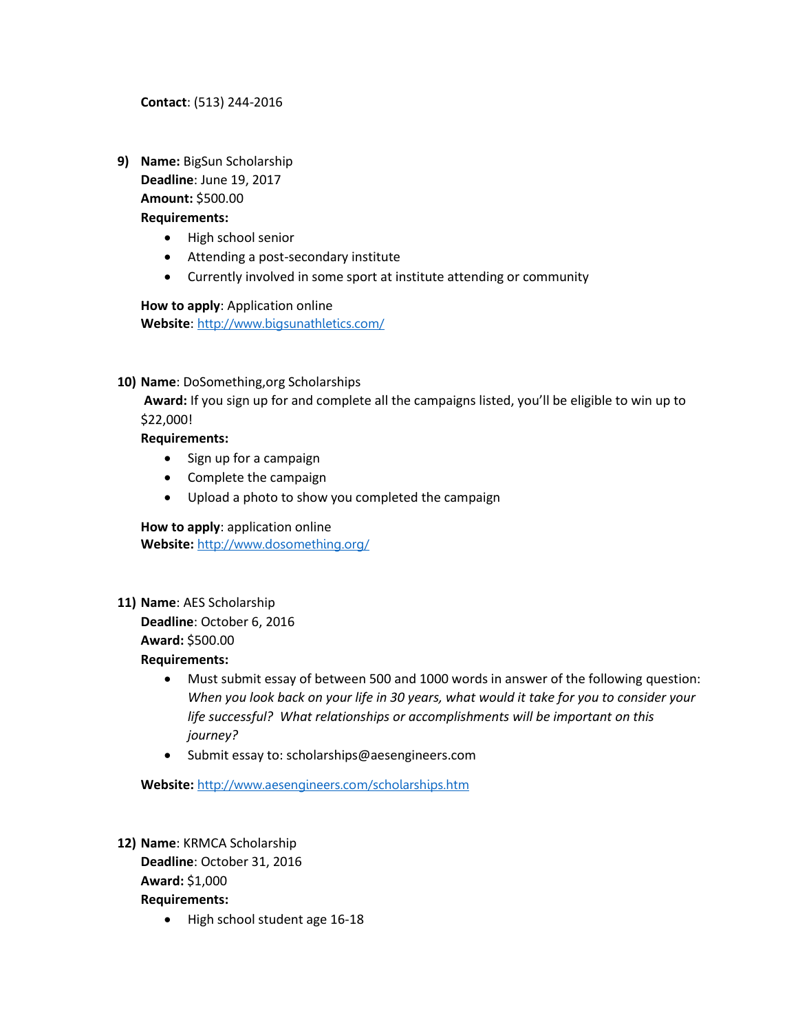**Contact**: (513) 244-2016

**9) Name:** BigSun Scholarship **Deadline**: June 19, 2017 **Amount:** \$500.00

#### **Requirements:**

- High school senior
- Attending a post-secondary institute
- Currently involved in some sport at institute attending or community

**How to apply**: Application online **Website**: <http://www.bigsunathletics.com/>

**10) Name**: DoSomething,org Scholarships

**Award:** If you sign up for and complete all the campaigns listed, you'll be eligible to win up to \$22,000!

#### **Requirements:**

- Sign up for a campaign
- Complete the campaign
- Upload a photo to show you completed the campaign

**How to apply**: application online **Website:** <http://www.dosomething.org/>

**11) Name**: AES Scholarship

**Deadline**: October 6, 2016 **Award:** \$500.00

**Requirements:** 

- Must submit essay of between 500 and 1000 words in answer of the following question: *When you look back on your life in 30 years, what would it take for you to consider your life successful? What relationships or accomplishments will be important on this journey?*
- Submit essay to: scholarships@aesengineers.com

**Website:** <http://www.aesengineers.com/scholarships.htm>

- **12) Name**: KRMCA Scholarship **Deadline**: October 31, 2016 **Award:** \$1,000 **Requirements:** 
	- High school student age 16-18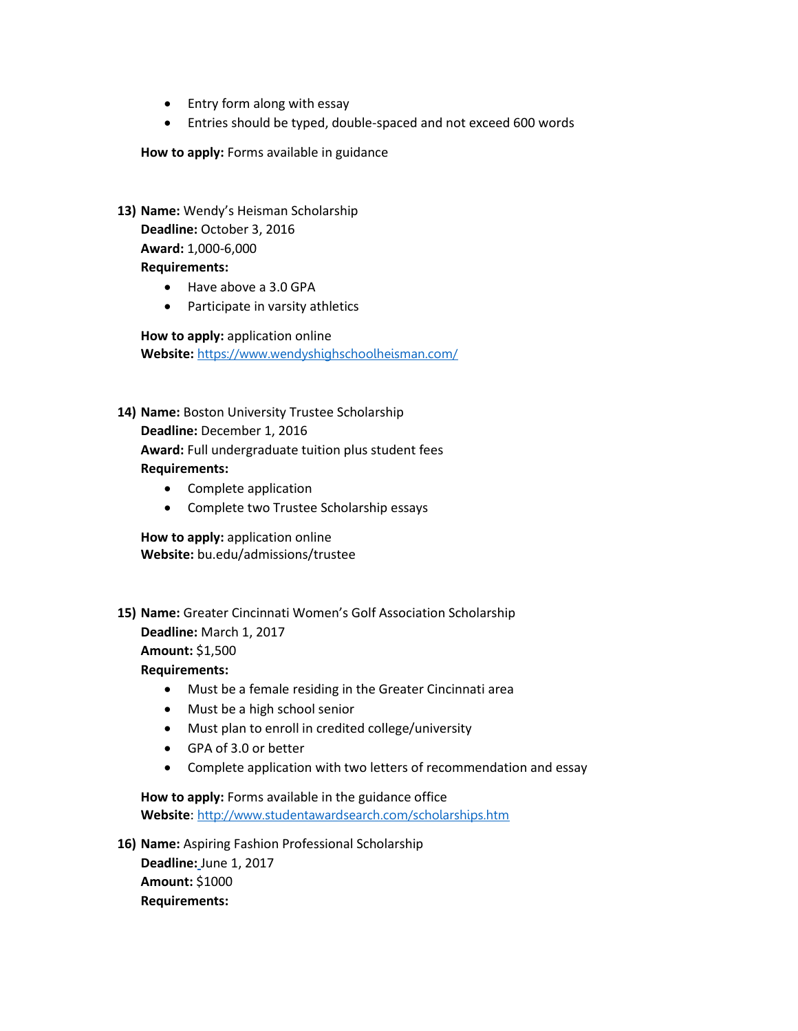- Entry form along with essay
- Entries should be typed, double-spaced and not exceed 600 words

**How to apply:** Forms available in guidance

- **13) Name:** Wendy's Heisman Scholarship **Deadline:** October 3, 2016 **Award:** 1,000-6,000 **Requirements:**
	- Have above a 3.0 GPA
	- Participate in varsity athletics

**How to apply:** application online **Website:** <https://www.wendyshighschoolheisman.com/>

- **14) Name:** Boston University Trustee Scholarship **Deadline:** December 1, 2016 **Award:** Full undergraduate tuition plus student fees **Requirements:**
	- Complete application
	- Complete two Trustee Scholarship essays

**How to apply:** application online **Website:** bu.edu/admissions/trustee

**15) Name:** Greater Cincinnati Women's Golf Association Scholarship **Deadline:** March 1, 2017

**Amount:** \$1,500

**Requirements:** 

- Must be a female residing in the Greater Cincinnati area
- Must be a high school senior
- Must plan to enroll in credited college/university
- GPA of 3.0 or better
- Complete application with two letters of recommendation and essay

**How to apply:** Forms available in the guidance office **Website**: <http://www.studentawardsearch.com/scholarships.htm>

**16) Name:** Aspiring Fashion Professional Scholarship

**Deadline:** June 1, 2017 **Amount:** \$1000 **Requirements:**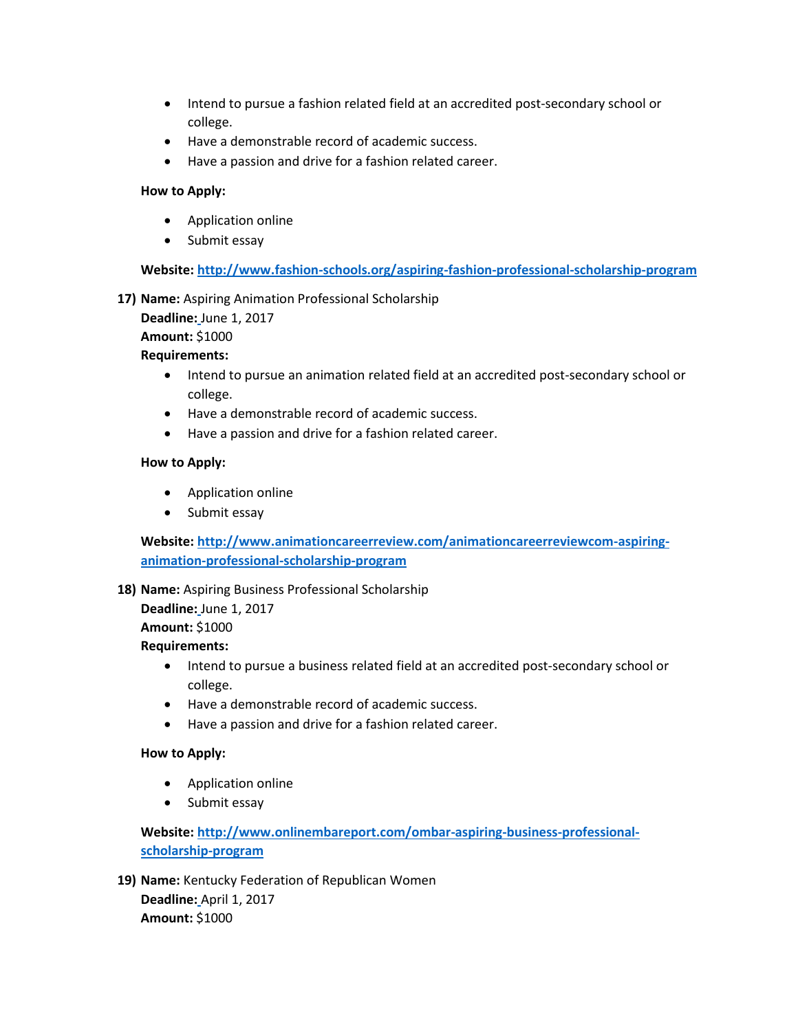- Intend to pursue a fashion related field at an accredited post-secondary school or college.
- Have a demonstrable record of academic success.
- Have a passion and drive for a fashion related career.

#### **How to Apply:**

- Application online
- Submit essay

**Website:<http://www.fashion-schools.org/aspiring-fashion-professional-scholarship-program>**

**17) Name:** Aspiring Animation Professional Scholarship

**Deadline:** June 1, 2017

**Amount:** \$1000

#### **Requirements:**

- Intend to pursue an animation related field at an accredited post-secondary school or college.
- Have a demonstrable record of academic success.
- Have a passion and drive for a fashion related career.

#### **How to Apply:**

- Application online
- Submit essay

**Website: [http://www.animationcareerreview.com/animationcareerreviewcom-aspiring](http://www.animationcareerreview.com/animationcareerreviewcom-aspiring-animation-professional-scholarship-program)[animation-professional-scholarship-program](http://www.animationcareerreview.com/animationcareerreviewcom-aspiring-animation-professional-scholarship-program)**

#### **18) Name:** Aspiring Business Professional Scholarship

**Deadline:** June 1, 2017 **Amount:** \$1000

#### **Requirements:**

- Intend to pursue a business related field at an accredited post-secondary school or college.
- Have a demonstrable record of academic success.
- Have a passion and drive for a fashion related career.

#### **How to Apply:**

- Application online
- Submit essay

## **Website: [http://www.onlinembareport.com/ombar-aspiring-business-professional](http://www.onlinembareport.com/ombar-aspiring-business-professional-scholarship-program)[scholarship-program](http://www.onlinembareport.com/ombar-aspiring-business-professional-scholarship-program)**

**19) Name:** Kentucky Federation of Republican Women **Deadline:** April 1, 2017 **Amount:** \$1000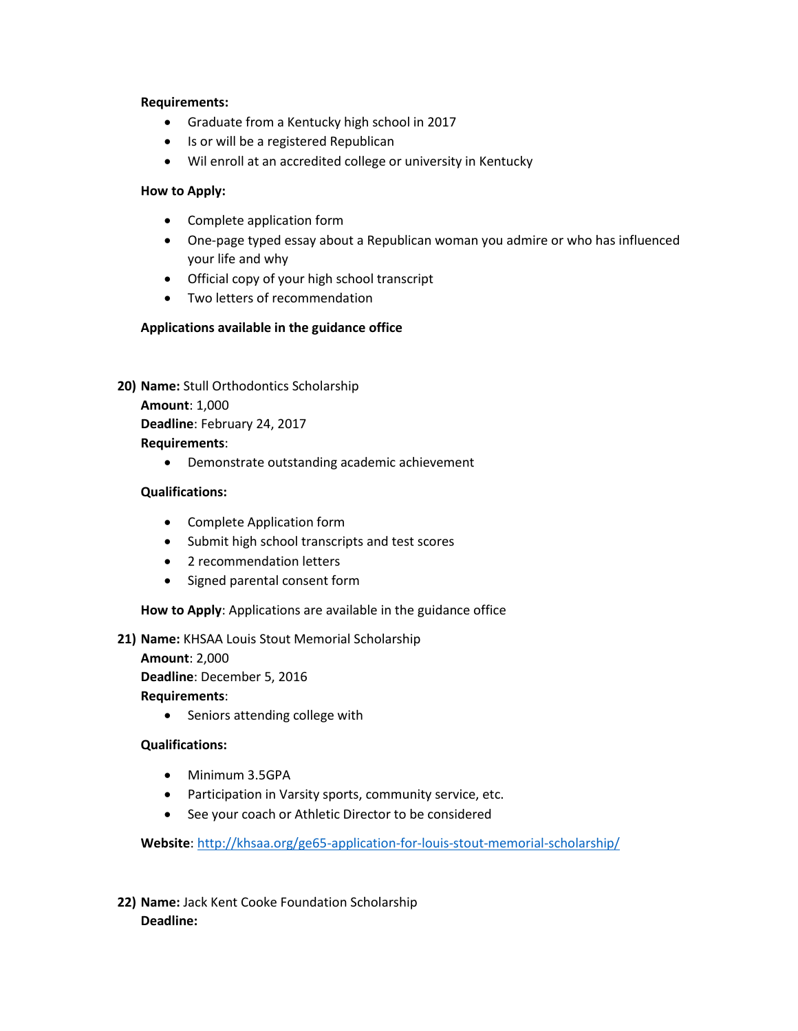#### **Requirements:**

- Graduate from a Kentucky high school in 2017
- Is or will be a registered Republican
- Wil enroll at an accredited college or university in Kentucky

#### **How to Apply:**

- Complete application form
- One-page typed essay about a Republican woman you admire or who has influenced your life and why
- Official copy of your high school transcript
- Two letters of recommendation

#### **Applications available in the guidance office**

**20) Name:** Stull Orthodontics Scholarship

**Amount**: 1,000 **Deadline**: February 24, 2017 **Requirements**:

Demonstrate outstanding academic achievement

#### **Qualifications:**

- Complete Application form
- Submit high school transcripts and test scores
- 2 recommendation letters
- Signed parental consent form

**How to Apply**: Applications are available in the guidance office

#### **21) Name:** KHSAA Louis Stout Memorial Scholarship

**Amount**: 2,000 **Deadline**: December 5, 2016

**Requirements**:

• Seniors attending college with

#### **Qualifications:**

- Minimum 3.5GPA
- Participation in Varsity sports, community service, etc.
- See your coach or Athletic Director to be considered

**Website**:<http://khsaa.org/ge65-application-for-louis-stout-memorial-scholarship/>

**22) Name:** Jack Kent Cooke Foundation Scholarship **Deadline:**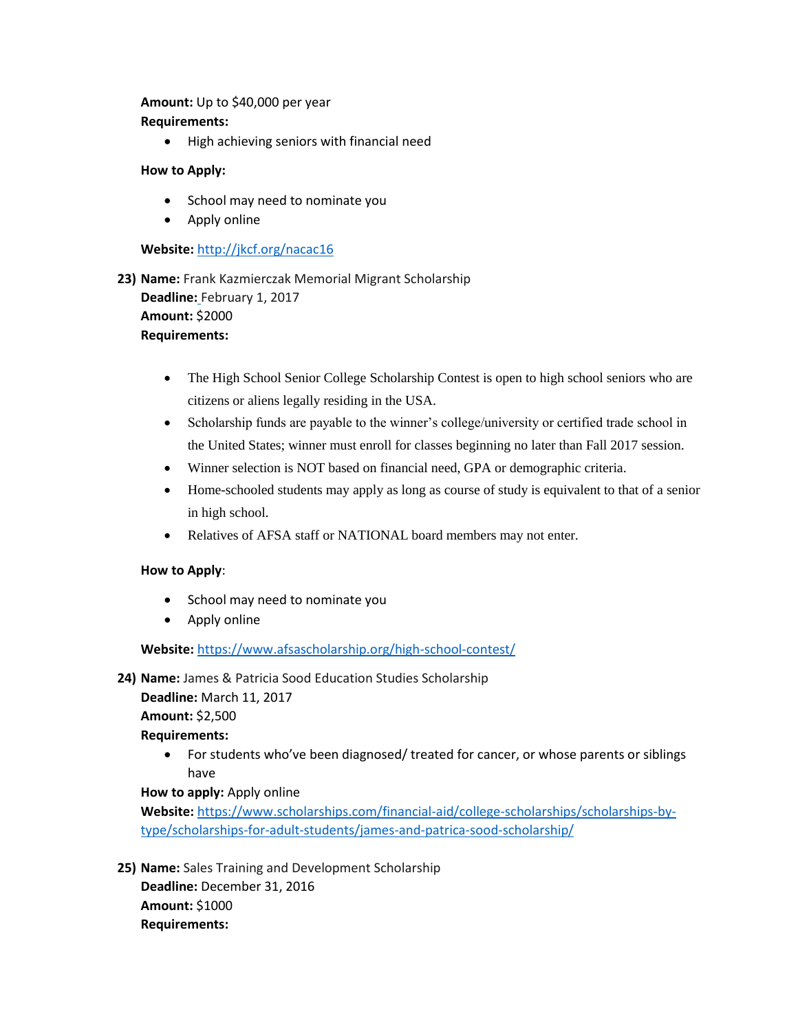#### **Amount:** Up to \$40,000 per year **Requirements:**

High achieving seniors with financial need

#### **How to Apply:**

- School may need to nominate you
- Apply online

#### **Website:** <http://jkcf.org/nacac16>

- **23) Name:** Frank Kazmierczak Memorial Migrant Scholarship **Deadline:** February 1, 2017 **Amount:** \$2000 **Requirements:** 
	- The High School Senior College Scholarship Contest is open to high school seniors who are citizens or aliens legally residing in the USA.
	- Scholarship funds are payable to the winner's college/university or certified trade school in the United States; winner must enroll for classes beginning no later than Fall 2017 session.
	- Winner selection is NOT based on financial need, GPA or demographic criteria.
	- Home-schooled students may apply as long as course of study is equivalent to that of a senior in high school.
	- Relatives of AFSA staff or NATIONAL board members may not enter.

#### **How to Apply**:

- School may need to nominate you
- Apply online

**Website:** <https://www.afsascholarship.org/high-school-contest/>

#### **24) Name:** James & Patricia Sood Education Studies Scholarship

**Deadline:** March 11, 2017

**Amount:** \$2,500

#### **Requirements:**

 For students who've been diagnosed/ treated for cancer, or whose parents or siblings have

#### **How to apply:** Apply online

**Website:** [https://www.scholarships.com/financial-aid/college-scholarships/scholarships-by](https://www.scholarships.com/financial-aid/college-scholarships/scholarships-by-type/scholarships-for-adult-students/james-and-patrica-sood-scholarship/)[type/scholarships-for-adult-students/james-and-patrica-sood-scholarship/](https://www.scholarships.com/financial-aid/college-scholarships/scholarships-by-type/scholarships-for-adult-students/james-and-patrica-sood-scholarship/)

**25) Name:** Sales Training and Development Scholarship **Deadline:** December 31, 2016 **Amount:** \$1000 **Requirements:**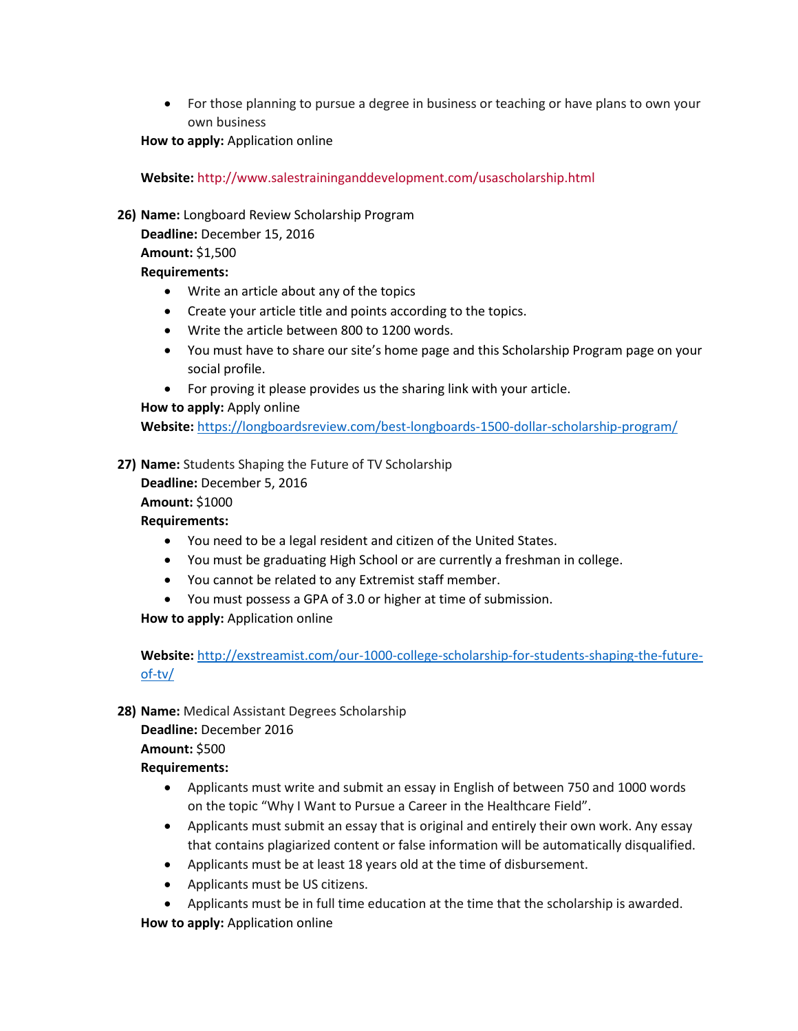For those planning to pursue a degree in business or teaching or have plans to own your own business

**How to apply:** Application online

**Website:** <http://www.salestraininganddevelopment.com/usascholarship.html>

**26) Name:** Longboard Review Scholarship Program

**Deadline:** December 15, 2016 **Amount:** \$1,500

#### **Requirements:**

- Write an article about any of the topics
- Create your article title and points according to the topics.
- Write the article between 800 to 1200 words.
- You must have to share our site's home page and this Scholarship Program page on your social profile.
- For proving it please provides us the sharing link with your article.

#### **How to apply:** Apply online

**Website:** <https://longboardsreview.com/best-longboards-1500-dollar-scholarship-program/>

**27) Name:** Students Shaping the Future of TV Scholarship

**Deadline:** December 5, 2016 **Amount:** \$1000

**Requirements:**

- You need to be a legal resident and citizen of the United States.
- You must be graduating High School or are currently a freshman in college.
- You cannot be related to any Extremist staff member.
- You must possess a GPA of 3.0 or higher at time of submission.

**How to apply:** Application online

**Website:** [http://exstreamist.com/our-1000-college-scholarship-for-students-shaping-the-future](http://exstreamist.com/our-1000-college-scholarship-for-students-shaping-the-future-of-tv/)[of-tv/](http://exstreamist.com/our-1000-college-scholarship-for-students-shaping-the-future-of-tv/)

**28) Name:** Medical Assistant Degrees Scholarship

**Deadline:** December 2016 **Amount:** \$500

## **Requirements:**

- Applicants must write and submit an essay in English of between 750 and 1000 words on the topic "Why I Want to Pursue a Career in the Healthcare Field".
- Applicants must submit an essay that is original and entirely their own work. Any essay that contains plagiarized content or false information will be automatically disqualified.
- Applicants must be at least 18 years old at the time of disbursement.
- Applicants must be US citizens.
- Applicants must be in full time education at the time that the scholarship is awarded.

**How to apply:** Application online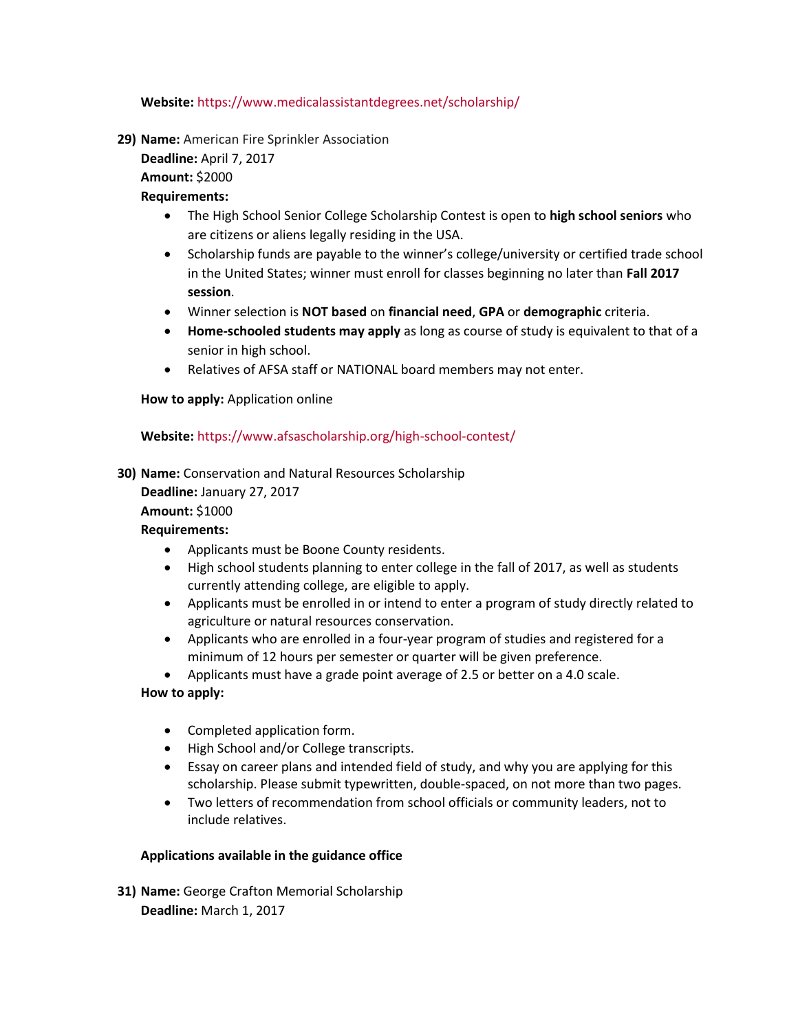#### **Website:** <https://www.medicalassistantdegrees.net/scholarship/>

**29) Name:** American Fire Sprinkler Association

**Deadline:** April 7, 2017 **Amount:** \$2000

#### **Requirements:**

- The High School Senior College Scholarship Contest is open to **high school seniors** who are citizens or aliens legally residing in the USA.
- Scholarship funds are payable to the winner's college/university or certified trade school in the United States; winner must enroll for classes beginning no later than **Fall 2017 session**.
- Winner selection is **NOT based** on **financial need**, **GPA** or **demographic** criteria.
- **Home-schooled students may apply** as long as course of study is equivalent to that of a senior in high school.
- Relatives of AFSA staff or NATIONAL board members may not enter.

#### **How to apply:** Application online

#### **Website:** <https://www.afsascholarship.org/high-school-contest/>

**30) Name:** Conservation and Natural Resources Scholarship

**Deadline:** January 27, 2017 **Amount:** \$1000

#### **Requirements:**

- Applicants must be Boone County residents.
- High school students planning to enter college in the fall of 2017, as well as students currently attending college, are eligible to apply.
- Applicants must be enrolled in or intend to enter a program of study directly related to agriculture or natural resources conservation.
- Applicants who are enrolled in a four-year program of studies and registered for a minimum of 12 hours per semester or quarter will be given preference.
- Applicants must have a grade point average of 2.5 or better on a 4.0 scale.

#### **How to apply:**

- Completed application form.
- High School and/or College transcripts.
- Essay on career plans and intended field of study, and why you are applying for this scholarship. Please submit typewritten, double-spaced, on not more than two pages.
- Two letters of recommendation from school officials or community leaders, not to include relatives.

#### **Applications available in the guidance office**

**31) Name:** George Crafton Memorial Scholarship **Deadline:** March 1, 2017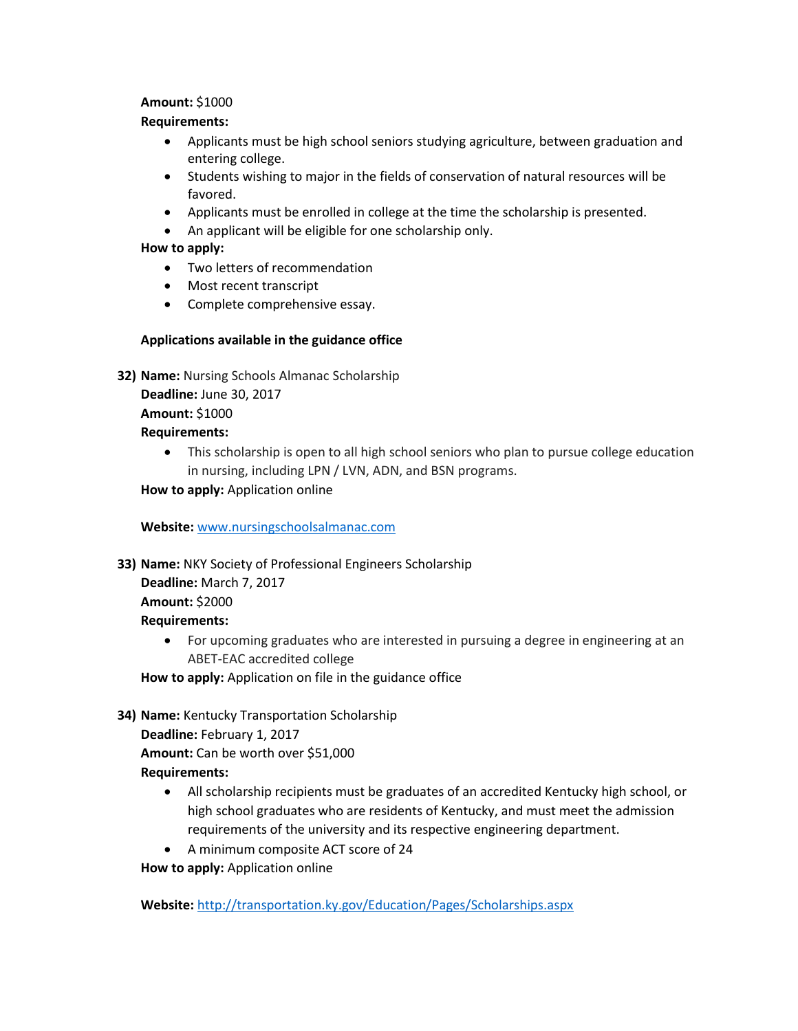#### **Amount:** \$1000

#### **Requirements:**

- Applicants must be high school seniors studying agriculture, between graduation and entering college.
- Students wishing to major in the fields of conservation of natural resources will be favored.
- Applicants must be enrolled in college at the time the scholarship is presented.
- An applicant will be eligible for one scholarship only.

#### **How to apply:**

- Two letters of recommendation
- Most recent transcript
- Complete comprehensive essay.

#### **Applications available in the guidance office**

**32) Name:** Nursing Schools Almanac Scholarship

**Deadline:** June 30, 2017

**Amount:** \$1000

#### **Requirements:**

• This scholarship is open to all high school seniors who plan to pursue college education in nursing, including LPN / LVN, ADN, and BSN programs.

## **How to apply:** Application online

**Website:** [www.nursingschoolsalmanac.com](http://www.nursingschoolsalmanac.com/)

#### **33) Name:** NKY Society of Professional Engineers Scholarship

**Deadline:** March 7, 2017 **Amount:** \$2000 **Requirements:**

> For upcoming graduates who are interested in pursuing a degree in engineering at an ABET-EAC accredited college

**How to apply:** Application on file in the guidance office

**34) Name:** Kentucky Transportation Scholarship **Deadline:** February 1, 2017

**Amount:** Can be worth over \$51,000

- **Requirements:**
	- All scholarship recipients must be graduates of an accredited Kentucky high school, or high school graduates who are residents of Kentucky, and must meet the admission requirements of the university and its respective engineering department.
	- A minimum composite ACT score of 24

**How to apply:** Application online

**Website:** <http://transportation.ky.gov/Education/Pages/Scholarships.aspx>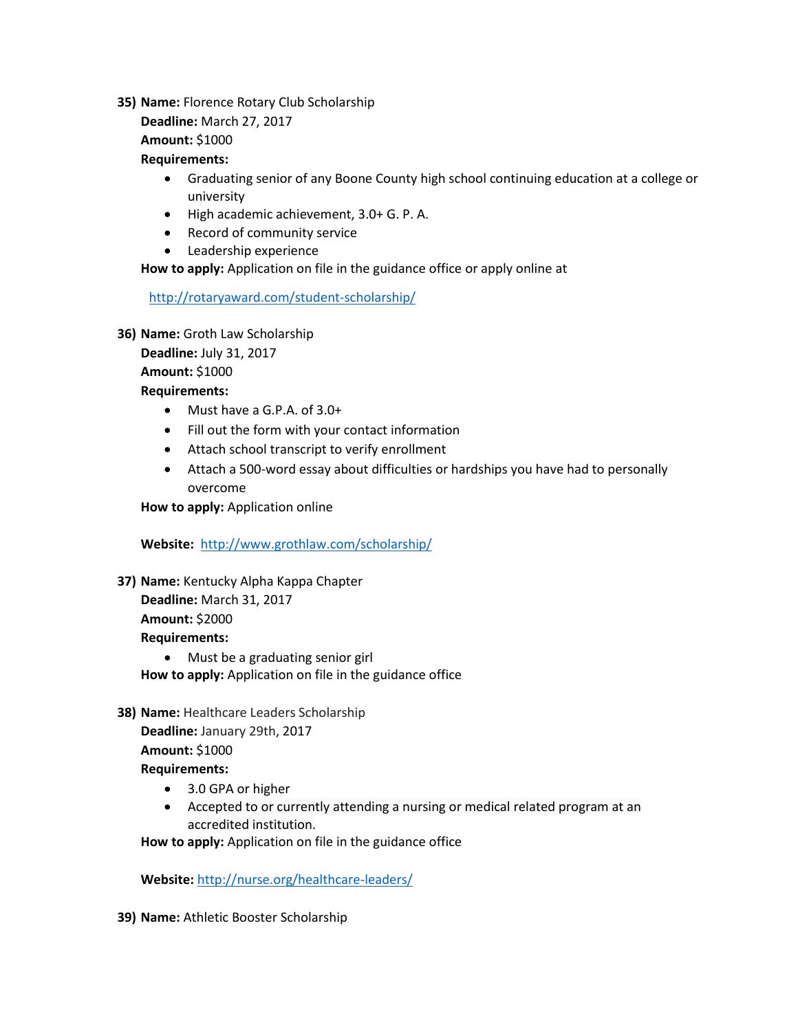**35) Name:** Florence Rotary Club Scholarship

**Deadline:** March 27, 2017

**Amount:** \$1000

#### **Requirements:**

- Graduating senior of any Boone County high school continuing education at a college or university
- High academic achievement, 3.0+ G. P. A.
- Record of community service
- Leadership experience

**How to apply:** Application on file in the guidance office or apply online at

<http://rotaryaward.com/student-scholarship/>

**36) Name:** Groth Law Scholarship

**Deadline:** July 31, 2017

**Amount:** \$1000

**Requirements:**

- Must have a G.P.A. of 3.0+
- Fill out the form with your contact information
- Attach school transcript to verify enrollment
- Attach a 500-word essay about difficulties or hardships you have had to personally overcome

**How to apply:** Application online

**Website:** <http://www.grothlaw.com/scholarship/>

**37) Name:** Kentucky Alpha Kappa Chapter **Deadline:** March 31, 2017

**Amount:** \$2000

**Requirements:**

- Must be a graduating senior girl **How to apply:** Application on file in the guidance office
- **38) Name:** Healthcare Leaders Scholarship

**Deadline:** January 29th, 2017

## **Amount:** \$1000

## **Requirements:**

- 3.0 GPA or higher
- Accepted to or currently attending a nursing or medical related program at an accredited institution.

**How to apply:** Application on file in the guidance office

**Website:** <http://nurse.org/healthcare-leaders/>

**39) Name:** Athletic Booster Scholarship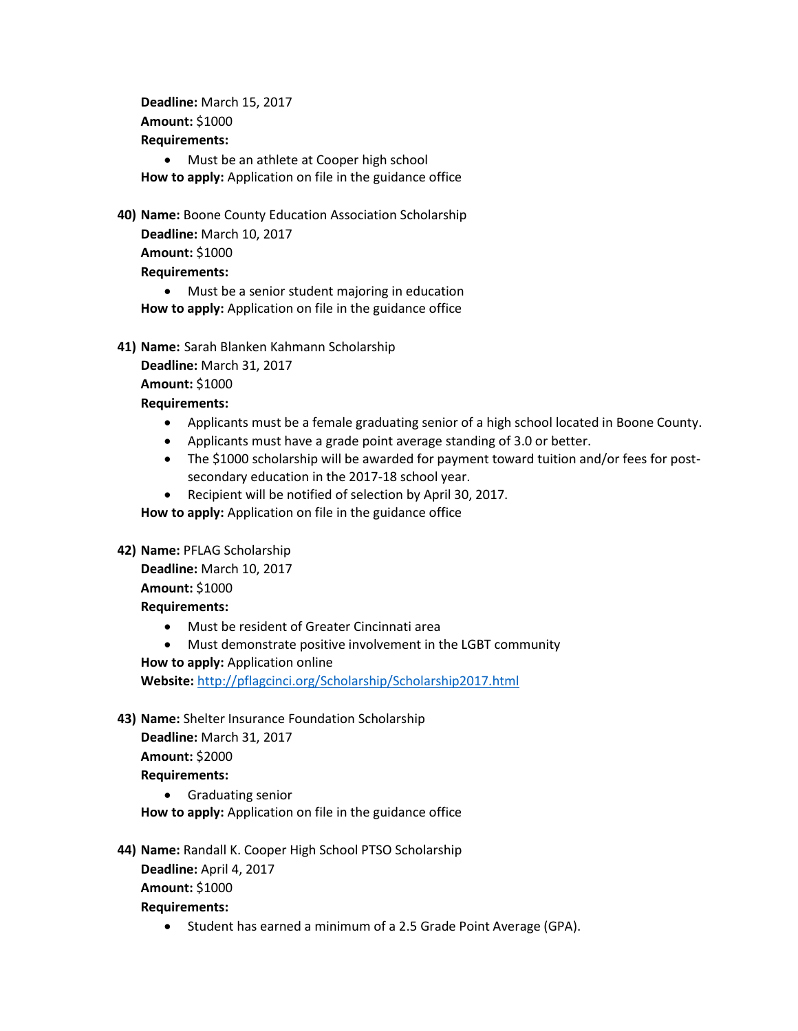**Deadline:** March 15, 2017 **Amount:** \$1000 **Requirements:**

• Must be an athlete at Cooper high school **How to apply:** Application on file in the guidance office

**40) Name:** Boone County Education Association Scholarship

**Deadline:** March 10, 2017

**Amount:** \$1000

**Requirements:**

 Must be a senior student majoring in education **How to apply:** Application on file in the guidance office

**41) Name:** Sarah Blanken Kahmann Scholarship

**Deadline:** March 31, 2017

**Amount:** \$1000

**Requirements:**

- Applicants must be a female graduating senior of a high school located in Boone County.
- Applicants must have a grade point average standing of 3.0 or better.
- The \$1000 scholarship will be awarded for payment toward tuition and/or fees for postsecondary education in the 2017-18 school year.
- Recipient will be notified of selection by April 30, 2017.

**How to apply:** Application on file in the guidance office

**42) Name:** PFLAG Scholarship

**Deadline:** March 10, 2017 **Amount:** \$1000 **Requirements:**

- Must be resident of Greater Cincinnati area
- Must demonstrate positive involvement in the LGBT community

**How to apply:** Application online

**Website:** <http://pflagcinci.org/Scholarship/Scholarship2017.html>

**43) Name:** Shelter Insurance Foundation Scholarship

**Deadline:** March 31, 2017

**Amount:** \$2000

#### **Requirements:**

Graduating senior

**How to apply:** Application on file in the guidance office

**44) Name:** Randall K. Cooper High School PTSO Scholarship **Deadline:** April 4, 2017

**Amount:** \$1000

**Requirements:**

• Student has earned a minimum of a 2.5 Grade Point Average (GPA).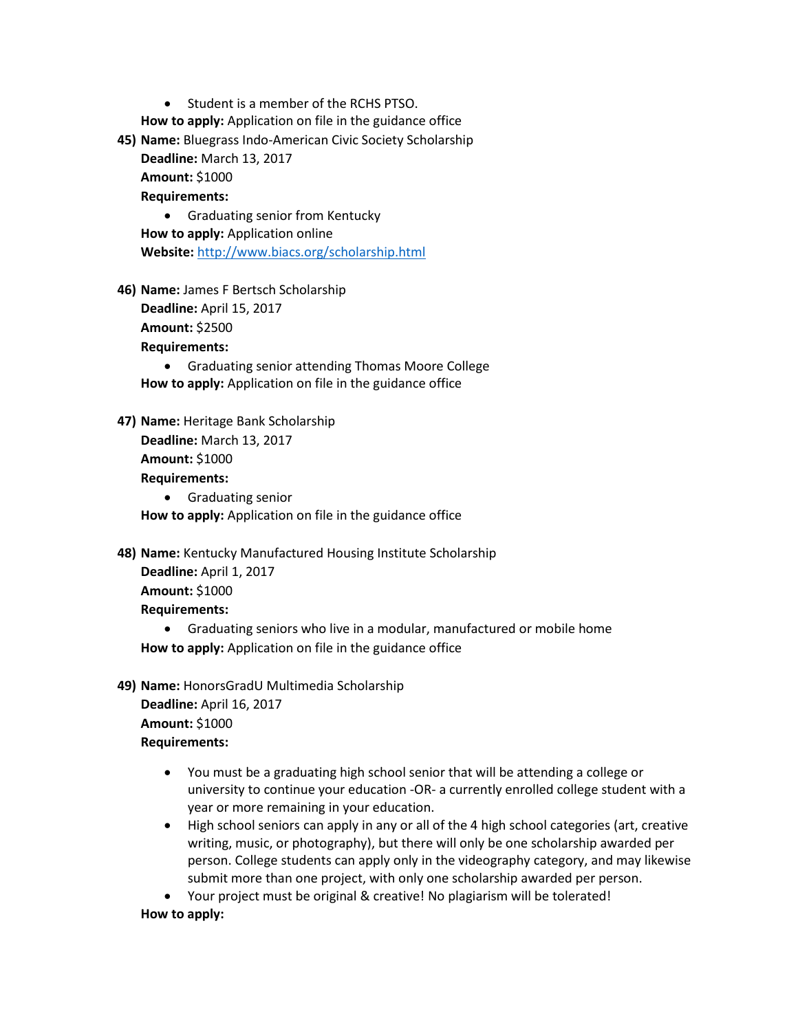• Student is a member of the RCHS PTSO.

**How to apply:** Application on file in the guidance office

**45) Name:** Bluegrass Indo-American Civic Society Scholarship **Deadline:** March 13, 2017

**Amount:** \$1000

#### **Requirements:**

 Graduating senior from Kentucky **How to apply:** Application online **Website:** <http://www.biacs.org/scholarship.html>

**46) Name:** James F Bertsch Scholarship

**Deadline:** April 15, 2017

**Amount:** \$2500

**Requirements:**

 Graduating senior attending Thomas Moore College **How to apply:** Application on file in the guidance office

**47) Name:** Heritage Bank Scholarship

**Deadline:** March 13, 2017 **Amount:** \$1000 **Requirements:**

**•** Graduating senior

**How to apply:** Application on file in the guidance office

**48) Name:** Kentucky Manufactured Housing Institute Scholarship

**Deadline:** April 1, 2017 **Amount:** \$1000

**Requirements:**

 Graduating seniors who live in a modular, manufactured or mobile home **How to apply:** Application on file in the guidance office

**49) Name:** HonorsGradU Multimedia Scholarship **Deadline:** April 16, 2017 **Amount:** \$1000 **Requirements:**

- You must be a graduating high school senior that will be attending a college or university to continue your education -OR- a currently enrolled college student with a year or more remaining in your education.
- High school seniors can apply in any or all of the 4 high school categories (art, creative writing, music, or photography), but there will only be one scholarship awarded per person. College students can apply only in the videography category, and may likewise submit more than one project, with only one scholarship awarded per person.
- Your project must be original & creative! No plagiarism will be tolerated!

#### **How to apply:**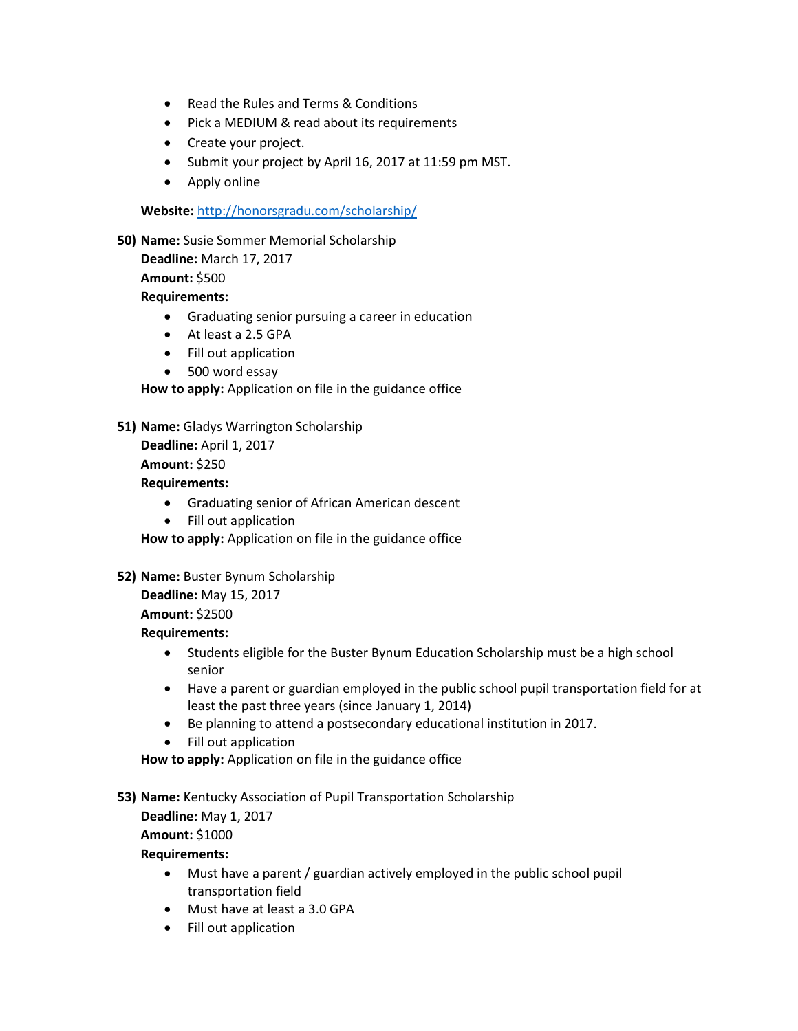- Read the Rules and Terms & Conditions
- Pick a MEDIUM & read about its [requirements](http://honorsgradu.com/scholarship/prompts/)
- Create your project.
- Submit your [project](http://honorsgradu.com/scholarship-submission-form/) by April 16, 2017 at 11:59 pm MST.
- Apply online

**Website:** <http://honorsgradu.com/scholarship/>

**50) Name:** Susie Sommer Memorial Scholarship **Deadline:** March 17, 2017 **Amount:** \$500 **Requirements:**

- Graduating senior pursuing a career in education
- At least a 2.5 GPA
- Fill out application
- 500 word essay

**How to apply:** Application on file in the guidance office

**51) Name:** Gladys Warrington Scholarship **Deadline:** April 1, 2017 **Amount:** \$250

**Requirements:**

- Graduating senior of African American descent
- Fill out application

**How to apply:** Application on file in the guidance office

**52) Name:** Buster Bynum Scholarship **Deadline:** May 15, 2017

**Amount:** \$2500

**Requirements:**

- Students eligible for the Buster Bynum Education Scholarship must be a high school senior
- Have a parent or guardian employed in the public school pupil transportation field for at least the past three years (since January 1, 2014)
- Be planning to attend a postsecondary educational institution in 2017.
- Fill out application

**How to apply:** Application on file in the guidance office

**53) Name:** Kentucky Association of Pupil Transportation Scholarship

```
Deadline: May 1, 2017
Amount: $1000
```
**Requirements:**

- Must have a parent / guardian actively employed in the public school pupil transportation field
- Must have at least a 3.0 GPA
- Fill out application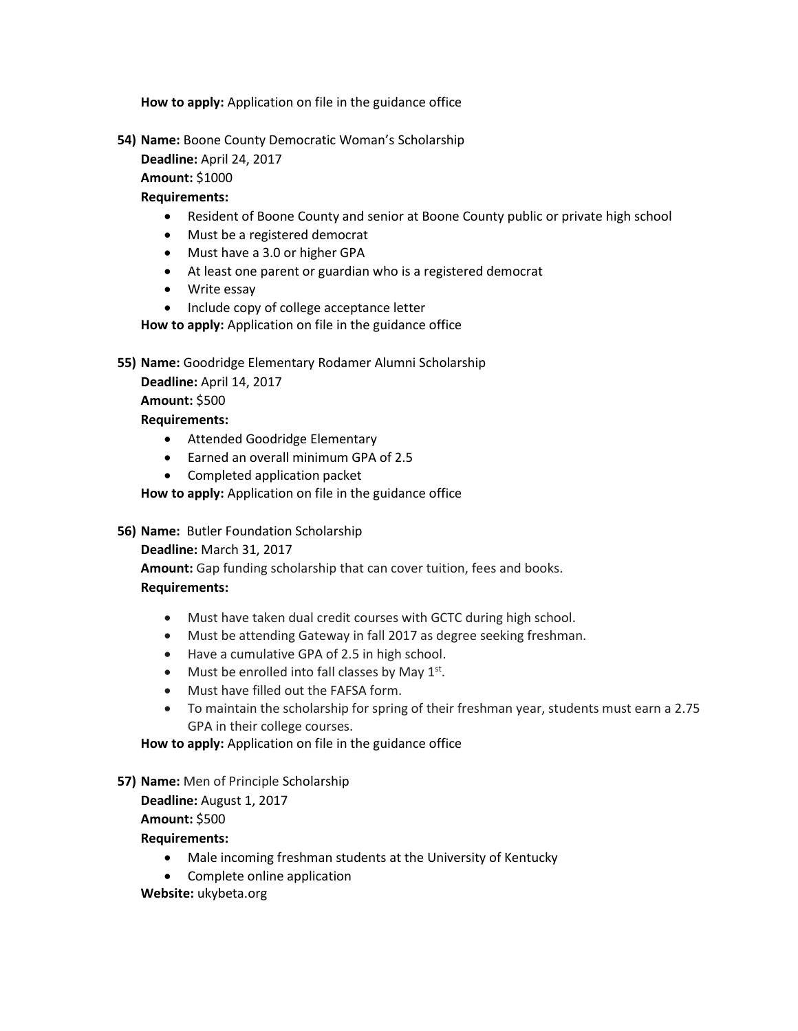**How to apply:** Application on file in the guidance office

**54) Name:** Boone County Democratic Woman's Scholarship

**Deadline:** April 24, 2017

**Amount:** \$1000

#### **Requirements:**

- Resident of Boone County and senior at Boone County public or private high school
- Must be a registered democrat
- Must have a 3.0 or higher GPA
- At least one parent or guardian who is a registered democrat
- Write essay
- Include copy of college acceptance letter

**How to apply:** Application on file in the guidance office

**55) Name:** Goodridge Elementary Rodamer Alumni Scholarship

**Deadline:** April 14, 2017

**Amount:** \$500

#### **Requirements:**

- Attended Goodridge Elementary
- Earned an overall minimum GPA of 2.5
- Completed application packet

**How to apply:** Application on file in the guidance office

**56) Name:** Butler Foundation Scholarship

**Deadline:** March 31, 2017

**Amount:** Gap funding scholarship that can cover tuition, fees and books.

## **Requirements:**

- Must have taken dual credit courses with GCTC during high school.
- Must be attending Gateway in fall 2017 as degree seeking freshman.
- Have a cumulative GPA of 2.5 in high school.
- $\bullet$  Must be enrolled into fall classes by May  $1^{st}$ .
- Must have filled out the FAFSA form.
- To maintain the scholarship for spring of their freshman year, students must earn a 2.75 GPA in their college courses.

**How to apply:** Application on file in the guidance office

#### **57) Name:** Men of Principle Scholarship

**Deadline:** August 1, 2017

**Amount:** \$500

**Requirements:**

- Male incoming freshman students at the University of Kentucky
- Complete online application

**Website:** ukybeta.org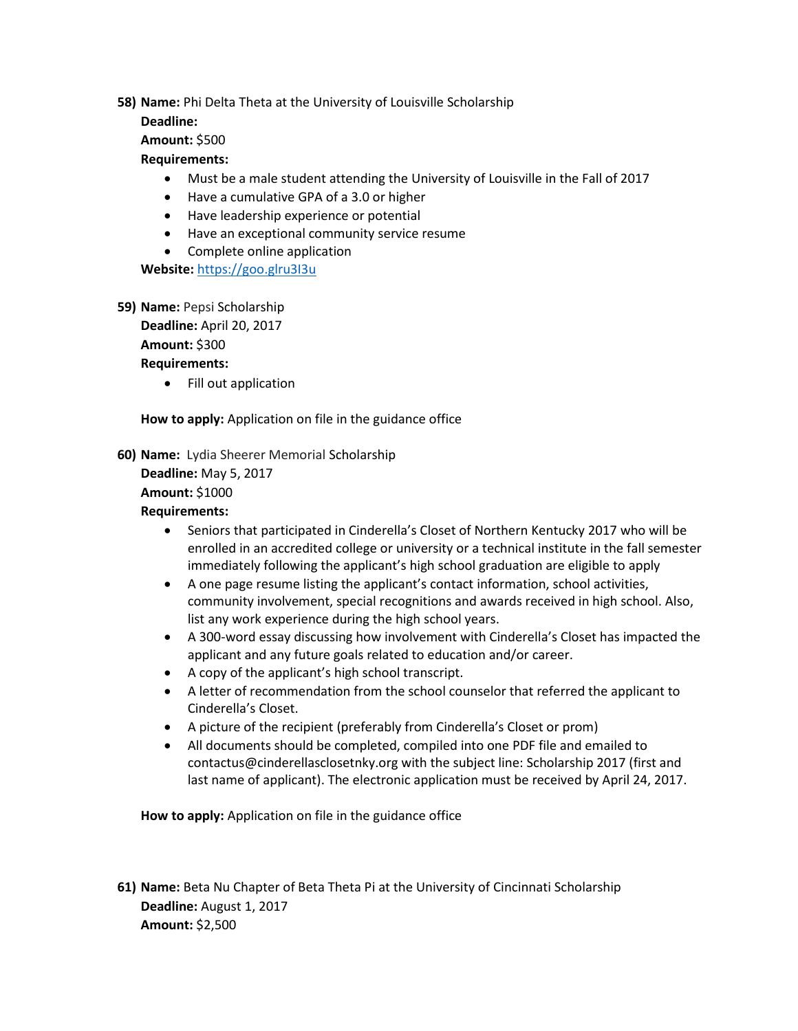**58) Name:** Phi Delta Theta at the University of Louisville Scholarship

#### **Deadline:**

**Amount:** \$500

## **Requirements:**

- Must be a male student attending the University of Louisville in the Fall of 2017
- Have a cumulative GPA of a 3.0 or higher
- Have leadership experience or potential
- Have an exceptional community service resume
- Complete online application

**Website:** [https://goo.glru3I3u](https://goo.glru3i3u/)

**59) Name:** Pepsi Scholarship

**Deadline:** April 20, 2017

**Amount:** \$300

#### **Requirements:**

• Fill out application

## **How to apply:** Application on file in the guidance office

**60) Name:** Lydia Sheerer Memorial Scholarship

**Deadline:** May 5, 2017 **Amount:** \$1000

#### **Requirements:**

- Seniors that participated in Cinderella's Closet of Northern Kentucky 2017 who will be enrolled in an accredited college or university or a technical institute in the fall semester immediately following the applicant's high school graduation are eligible to apply
- A one page resume listing the applicant's contact information, school activities, community involvement, special recognitions and awards received in high school. Also, list any work experience during the high school years.
- A 300-word essay discussing how involvement with Cinderella's Closet has impacted the applicant and any future goals related to education and/or career.
- A copy of the applicant's high school transcript.
- A letter of recommendation from the school counselor that referred the applicant to Cinderella's Closet.
- A picture of the recipient (preferably from Cinderella's Closet or prom)
- All documents should be completed, compiled into one PDF file and emailed to contactus@cinderellasclosetnky.org with the subject line: Scholarship 2017 (first and last name of applicant). The electronic application must be received by April 24, 2017.

**How to apply:** Application on file in the guidance office

**61) Name:** Beta Nu Chapter of Beta Theta Pi at the University of Cincinnati Scholarship **Deadline:** August 1, 2017 **Amount:** \$2,500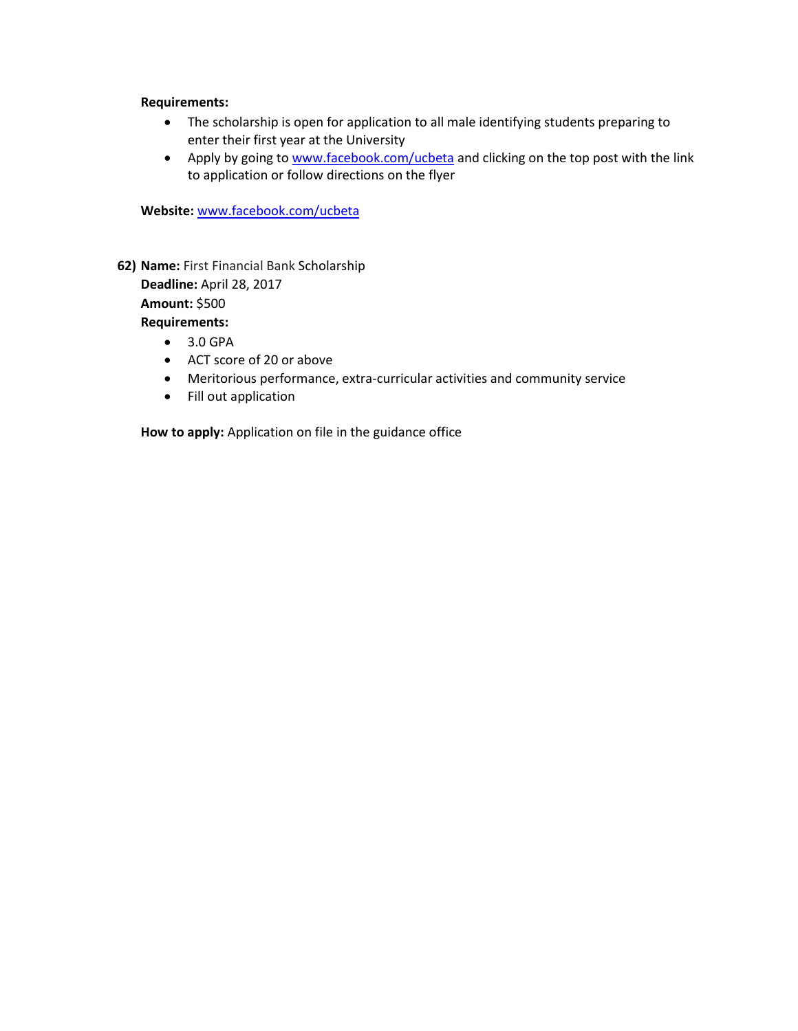#### **Requirements:**

- The scholarship is open for application to all male identifying students preparing to enter their first year at the University
- Apply by going to [www.facebook.com/ucbeta](http://www.facebook.com/ucbeta) and clicking on the top post with the link to application or follow directions on the flyer

**Website:** [www.facebook.com/ucbeta](http://www.facebook.com/ucbeta)

**62) Name:** First Financial Bank Scholarship

**Deadline:** April 28, 2017 **Amount:** \$500 **Requirements:**

- 3.0 GPA
- ACT score of 20 or above
- Meritorious performance, extra-curricular activities and community service
- Fill out application

**How to apply:** Application on file in the guidance office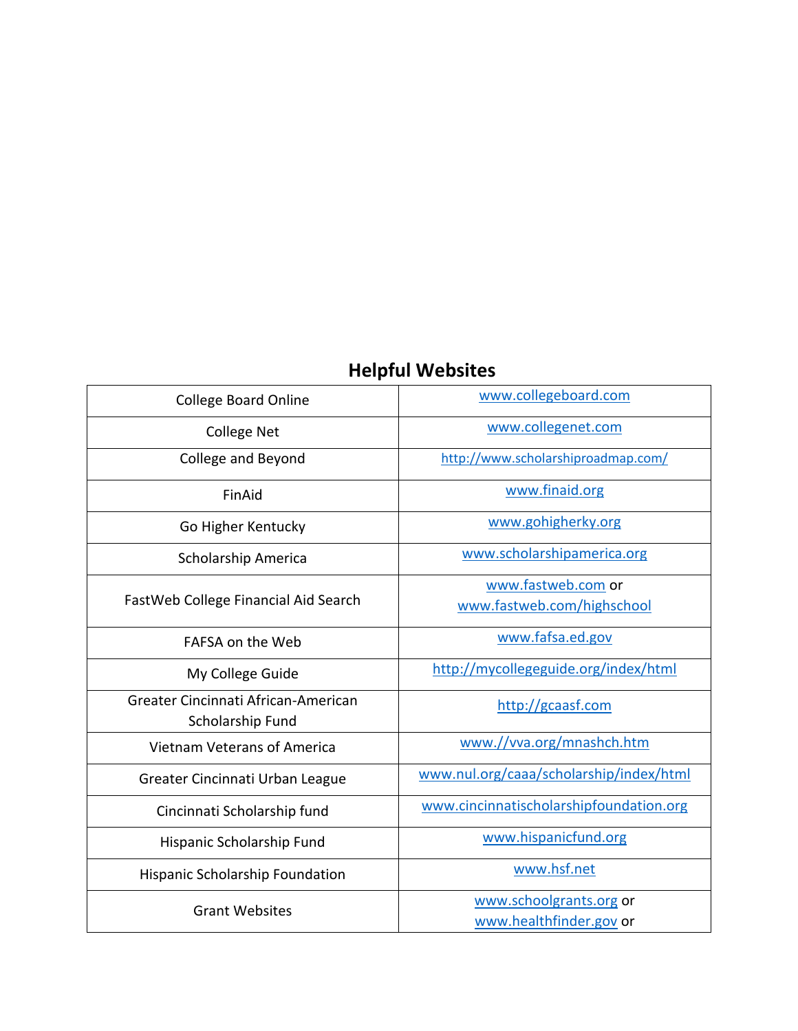# **Helpful Websites**

| <b>College Board Online</b>                             | www.collegeboard.com                               |
|---------------------------------------------------------|----------------------------------------------------|
| <b>College Net</b>                                      | www.collegenet.com                                 |
| College and Beyond                                      | http://www.scholarshiproadmap.com/                 |
| FinAid                                                  | www.finaid.org                                     |
| Go Higher Kentucky                                      | www.gohigherky.org                                 |
| Scholarship America                                     | www.scholarshipamerica.org                         |
| FastWeb College Financial Aid Search                    | www.fastweb.com or                                 |
|                                                         | www.fastweb.com/highschool                         |
| FAFSA on the Web                                        | www.fafsa.ed.gov                                   |
| My College Guide                                        | http://mycollegeguide.org/index/html               |
| Greater Cincinnati African-American<br>Scholarship Fund | http://gcaasf.com                                  |
| Vietnam Veterans of America                             | www.//vva.org/mnashch.htm                          |
| Greater Cincinnati Urban League                         | www.nul.org/caaa/scholarship/index/html            |
| Cincinnati Scholarship fund                             | www.cincinnatischolarshipfoundation.org            |
| Hispanic Scholarship Fund                               | www.hispanicfund.org                               |
| Hispanic Scholarship Foundation                         | www.hsf.net                                        |
| <b>Grant Websites</b>                                   | www.schoolgrants.org or<br>www.healthfinder.gov or |